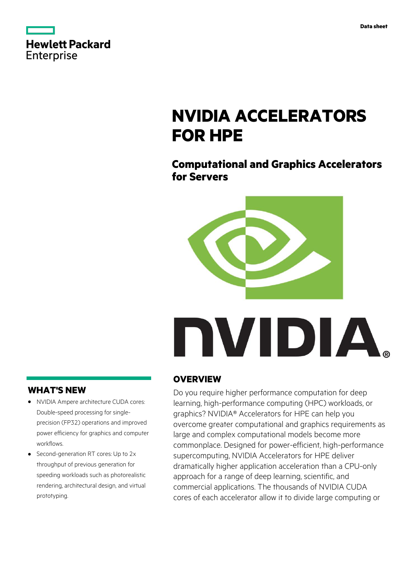|            | <b>Hewlett Packard</b> |
|------------|------------------------|
| Enterprise |                        |

## **NVIDIA ACCELERATORS FOR HPE**

### **Computational and Graphics Accelerators for Servers**



# NVIDIA.

#### **WHAT'S NEW**

- **·** NVIDIA Ampere architecture CUDA cores: Double-speed processing for singleprecision (FP32) operations and improved power efficiency for graphics and computer workflows.
- **·** Second-generation RT cores: Up to 2x throughput of previous generation for speeding workloads such as photorealistic rendering, architectural design, and virtual prototyping.

#### **OVERVIEW**

Do you require higher performance computation for deep learning, high-performance computing (HPC) workloads, or graphics? NVIDIA® Accelerators for HPE can help you overcome greater computational and graphics requirements as large and complex computational models become more commonplace. Designed for power-efficient, high-performance supercomputing, NVIDIA Accelerators for HPE deliver dramatically higher application acceleration than a CPU-only approach for a range of deep learning, scientific, and commercial applications. The thousands of NVIDIA CUDA cores of each accelerator allow it to divide large computing or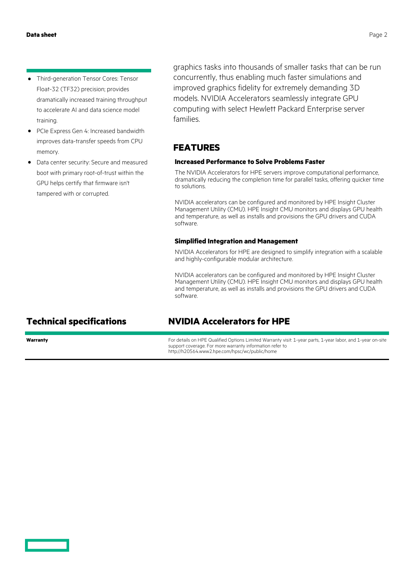- **·** Third-generation Tensor Cores: Tensor Float-32 (TF32) precision; provides dramatically increased training throughput to accelerate AI and data science model training.
- **·** PCIe Express Gen 4: Increased bandwidth improves data-transfer speeds from CPU memory.
- **·** Data center security: Secure and measured boot with primary root-of-trust within the GPU helps certify that firmware isn't tampered with or corrupted.

graphics tasks into thousands of smaller tasks that can be run concurrently, thus enabling much faster simulations and improved graphics fidelity for extremely demanding 3D models. NVIDIA Accelerators seamlessly integrate GPU computing with select Hewlett Packard Enterprise server families.

#### **FEATURES**

#### **Increased Performance to Solve Problems Faster**

The NVIDIA Accelerators for HPE servers improve computational performance, dramatically reducing the completion time for parallel tasks, offering quicker time to solutions.

NVIDIA accelerators can be configured and monitored by HPE Insight Cluster Management Utility (CMU). HPE Insight CMU monitors and displays GPU health and temperature, as well as installs and provisions the GPU drivers and CUDA software.

#### **Simplified Integration and Management**

NVIDIA Accelerators for HPE are designed to simplify integration with a scalable and highly-configurable modular architecture.

NVIDIA accelerators can be configured and monitored by HPE Insight Cluster Management Utility (CMU). HPE Insight CMU monitors and displays GPU health and temperature, as well as installs and provisions the GPU drivers and CUDA software.

#### **Technical specifications NVIDIA Accelerators for HPE**

**Warranty For details on HPE Qualified Options Limited Warranty visit: 1-year parts, 1-year labor, and 1-year on-site** support coverage. For more warranty information refer to http://h20564.www2.hpe.com/hpsc/wc/public/home